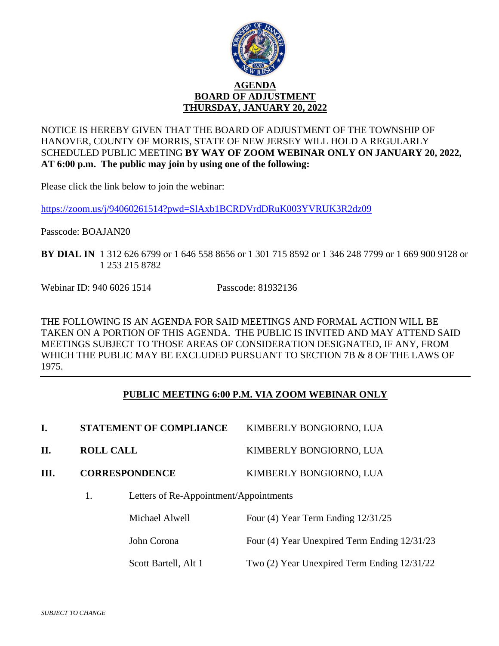

NOTICE IS HEREBY GIVEN THAT THE BOARD OF ADJUSTMENT OF THE TOWNSHIP OF HANOVER, COUNTY OF MORRIS, STATE OF NEW JERSEY WILL HOLD A REGULARLY SCHEDULED PUBLIC MEETING **BY WAY OF ZOOM WEBINAR ONLY ON JANUARY 20, 2022, AT 6:00 p.m. The public may join by using one of the following:**

Please click the link below to join the webinar:

<https://zoom.us/j/94060261514?pwd=SlAxb1BCRDVrdDRuK003YVRUK3R2dz09>

Passcode: BOAJAN20

**BY DIAL IN** 1 312 626 6799 or 1 646 558 8656 or 1 301 715 8592 or 1 346 248 7799 or 1 669 900 9128 or 1 253 215 8782

Webinar ID: 940 6026 1514 Passcode: 81932136

THE FOLLOWING IS AN AGENDA FOR SAID MEETINGS AND FORMAL ACTION WILL BE TAKEN ON A PORTION OF THIS AGENDA. THE PUBLIC IS INVITED AND MAY ATTEND SAID MEETINGS SUBJECT TO THOSE AREAS OF CONSIDERATION DESIGNATED, IF ANY, FROM WHICH THE PUBLIC MAY BE EXCLUDED PURSUANT TO SECTION 7B & 8 OF THE LAWS OF 1975.

# **PUBLIC MEETING 6:00 P.M. VIA ZOOM WEBINAR ONLY**

|      | <b>STATEMENT OF COMPLIANCE</b>         | KIMBERLY BONGIORNO, LUA |  |  |
|------|----------------------------------------|-------------------------|--|--|
| II.  | <b>ROLL CALL</b>                       | KIMBERLY BONGIORNO, LUA |  |  |
| III. | <b>CORRESPONDENCE</b>                  | KIMBERLY BONGIORNO, LUA |  |  |
|      | Letters of Re-Appointment/Appointments |                         |  |  |

Michael Alwell Four (4) Year Term Ending  $12/31/25$ John Corona Four (4) Year Unexpired Term Ending 12/31/23 Scott Bartell, Alt 1 Two (2) Year Unexpired Term Ending  $12/31/22$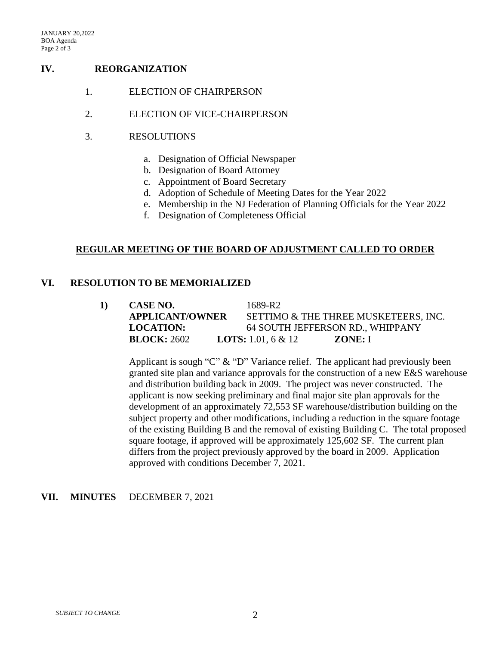# **IV. REORGANIZATION**

- 1. ELECTION OF CHAIRPERSON
- 2. ELECTION OF VICE-CHAIRPERSON
- 3. RESOLUTIONS
	- a. Designation of Official Newspaper
	- b. Designation of Board Attorney
	- c. Appointment of Board Secretary
	- d. Adoption of Schedule of Meeting Dates for the Year 2022
	- e. Membership in the NJ Federation of Planning Officials for the Year 2022
	- f. Designation of Completeness Official

#### **REGULAR MEETING OF THE BOARD OF ADJUSTMENT CALLED TO ORDER**

#### **VI. RESOLUTION TO BE MEMORIALIZED**

| CASE NO.               | 1689-R2                              |         |  |
|------------------------|--------------------------------------|---------|--|
| <b>APPLICANT/OWNER</b> | SETTIMO & THE THREE MUSKETEERS, INC. |         |  |
| <b>LOCATION:</b>       | 64 SOUTH JEFFERSON RD., WHIPPANY     |         |  |
| <b>BLOCK: 2602</b>     | <b>LOTS:</b> 1.01, 6 & 12            | ZONE: I |  |

Applicant is sough "C" & "D" Variance relief. The applicant had previously been granted site plan and variance approvals for the construction of a new E&S warehouse and distribution building back in 2009. The project was never constructed. The applicant is now seeking preliminary and final major site plan approvals for the development of an approximately 72,553 SF warehouse/distribution building on the subject property and other modifications, including a reduction in the square footage of the existing Building B and the removal of existing Building C. The total proposed square footage, if approved will be approximately 125,602 SF. The current plan differs from the project previously approved by the board in 2009. Application approved with conditions December 7, 2021.

#### **VII. MINUTES** DECEMBER 7, 2021